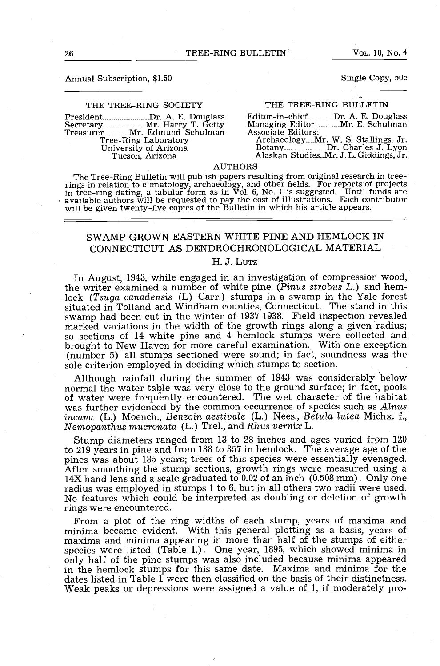# Annual Subscription, \$1.50 Single Copy, 50c

### THE TREE-RING SOCIETY

President Dr. A. E. Douglass Editor-in-chief Mr. A. E. Douglass<br>Secretary Mr. Harry T. Getty Managing Editor Mr. E. Schulman<br>Treasurer Mr. Edmund Schulman Associate Editors:<br>Tree-Ring Laboratory Archaeology Mr. W. S. Stall Tree -Ring Laboratory University of Arizona Tucson, Arizona

### THE TREE -RING BULLETIN

Editor-in-chief............Dr. A. E. Douglass<br>Managing Editor............Mr. E. Schulman Associate Editors:

Archaeology....Mr. W. S. Stallings, Jr. Botany Dr. Charles J. Lyon Alaskan Studies..Mr. J. L. Giddings, Jr.

AUTHORS<br>The Tree-Ring Bulletin will publish papers resulting from original research in tree-The Tree-Ring Bulletin will publish papers resulting from original research in tree-<br>rings in relation to climatology, archaeology, and other fields. For reports of projects<br>in tree-ring dating, a tabular form as in Vol. available authors will be requested to pay the cost of illustrations. Each contributor will be given twenty -five copies of the Bulletin in which his article appears.

# SWAMP -GROWN EASTERN WHITE PINE AND HEMLOCK IN CONNECTICUT AS DENDROCHRONOLOGICAL MATERIAL

# H. J. LUTZ

In August, 1943, while engaged in an investigation of compression wood, the writer examined a number of white pine (Pinus strobus L.) and hemlock (Tsuga canadensis (L) Carr.) stumps in a swamp in the Yale forest situated in Tolland and Windham counties, Connecticut. The stand in this swamp had been cut in the winter of 1937-1938. Field inspection revealed marked variations in the width of the growth rings along a given radius; so sections of 14 white pine and 4 hemlock stumps were collected and brought to New Haven for more careful examination. With one exception (number 5) all stumps sectioned were sound; in fact, soundness was the sole criterion employed in deciding which stumps to section.

Although rainfall during the summer of 1943 was considerably below normal the water table was very close to the ground surface; in fact, pools of water were frequently encountered. The wet character of the habitat was further evidenced by the common occurrence of species such as  $Alnus$ incana (L.) Moench., Benzoin aestivale (L.) Nees., Betula lutea Michx. f., Nemopanthus mucronata (L.) Trel., and Rhus vernix L.

Stump diameters ranged from 13 to 28 inches and ages varied from 120 pines was about 185 years; trees of this species were essentially evenaged.<br>After smoothing the stump sections, growth rings were measured using a<br>14X hand lens and a scale graduated to 0.02 of an inch (0.508 mm). Only one No features which could be interpreted as doubling or deletion of growth rings were encountered.

From a plot of the ring widths of each stump, years of maxima and<br>minima became evident. With this general plotting as a basis, years of<br>maxima and minima appearing in more than half of the stumps of either<br>species were li in the hemlock stumps for this same date. Maxima and minima for the dates listed in Table 1 were then classified on the basis of their distinctness. Weak peaks or depressions were assigned a value of 1, if moderately pro-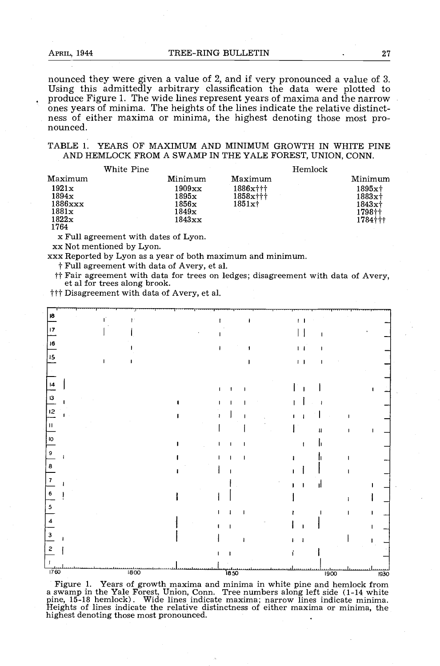nounced they were given a value of 2, and if very pronounced a value of 3. Using this admittedly arbitrary classification the data were plotted to produce Figure 1. The wide lines represent years of maxima and the narrow ones years of minima. The heights of the lines indicate the relative distinct- ness of either maxima or minima, the highest denoting those most pro- nounced.

### TABLE 1. YEARS OF MAXIMUM AND MINIMUM GROWTH IN WHITE PINE AND HEMLOCK FROM A SWAMP IN THE YALE FOREST, UNION, CONN.

| White Pine                                               |                                                                      | Hemlock                             |                                                      |  |
|----------------------------------------------------------|----------------------------------------------------------------------|-------------------------------------|------------------------------------------------------|--|
| Maximum                                                  | Minimum                                                              | Maximum                             | Minimum                                              |  |
| 1921x<br>1894x<br>$1886$ $xxx$<br>1881x<br>1822x<br>1764 | 1909xx<br>$_{1895\mathrm{x}}$<br>$1856\mathrm{x}$<br>1849x<br>1843xx | 1886x†††<br>$1858x$ †††<br>$1851x+$ | 1895xt<br>$1883x +$<br>$1843x+$<br>1798††<br>1784††† |  |
|                                                          |                                                                      |                                     |                                                      |  |

x Full agreement with dates of Lyon. xx Not mentioned by Lyon.

xxx Reported by Lyon as a year of both maximum and minimum.

#Full agreement with data of Avery, et al.

<sup>††</sup> Fair agreement with data for trees on ledges; disagreement with data of Avery, et al for trees along brook.

<sup>†††</sup> Disagreement with data of Avery, et al.



Figure 1. Years of growth maxima and minima in white pine and hemlock from a swamp in the Yale Forest, Union, Conn. Tree numbers along left side (1-14 white pine, 15-18 hemlock). Wide lines indicate maxima; narrow lines indicate minima. Heights of lines indicate the relative distinctness of eithe